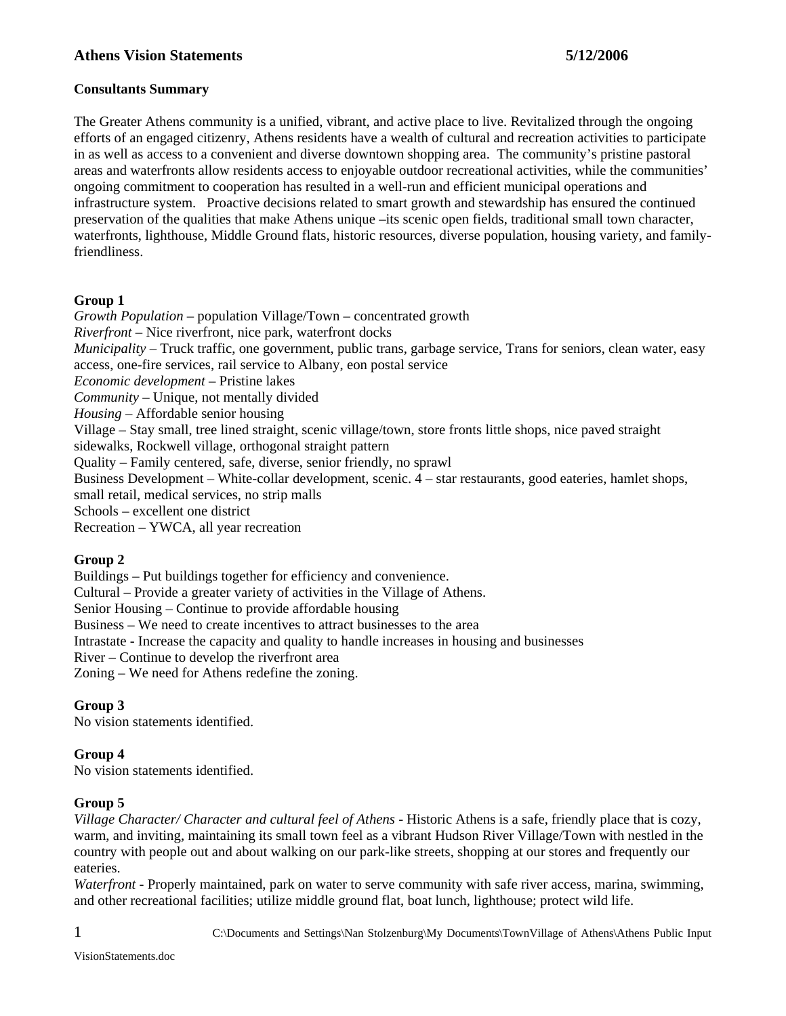# **Athens Vision Statements 5/12/2006**

### **Consultants Summary**

The Greater Athens community is a unified, vibrant, and active place to live. Revitalized through the ongoing efforts of an engaged citizenry, Athens residents have a wealth of cultural and recreation activities to participate in as well as access to a convenient and diverse downtown shopping area. The community's pristine pastoral areas and waterfronts allow residents access to enjoyable outdoor recreational activities, while the communities' ongoing commitment to cooperation has resulted in a well-run and efficient municipal operations and infrastructure system. Proactive decisions related to smart growth and stewardship has ensured the continued preservation of the qualities that make Athens unique –its scenic open fields, traditional small town character, waterfronts, lighthouse, Middle Ground flats, historic resources, diverse population, housing variety, and familyfriendliness.

### **Group 1**

*Growth Population* – population Village/Town – concentrated growth *Riverfront* – Nice riverfront, nice park, waterfront docks *Municipality* – Truck traffic, one government, public trans, garbage service, Trans for seniors, clean water, easy access, one-fire services, rail service to Albany, eon postal service *Economic development* – Pristine lakes *Community* – Unique, not mentally divided *Housing* – Affordable senior housing Village – Stay small, tree lined straight, scenic village/town, store fronts little shops, nice paved straight sidewalks, Rockwell village, orthogonal straight pattern Quality – Family centered, safe, diverse, senior friendly, no sprawl Business Development – White-collar development, scenic. 4 – star restaurants, good eateries, hamlet shops, small retail, medical services, no strip malls Schools – excellent one district Recreation – YWCA, all year recreation **Group 2** 

Buildings – Put buildings together for efficiency and convenience.

Cultural – Provide a greater variety of activities in the Village of Athens.

Senior Housing – Continue to provide affordable housing

Business – We need to create incentives to attract businesses to the area

Intrastate - Increase the capacity and quality to handle increases in housing and businesses

River – Continue to develop the riverfront area

Zoning – We need for Athens redefine the zoning.

## **Group 3**

No vision statements identified.

## **Group 4**

No vision statements identified.

## **Group 5**

*Village Character/ Character and cultural feel of Athens - Historic Athens is a safe, friendly place that is cozy,* warm, and inviting, maintaining its small town feel as a vibrant Hudson River Village/Town with nestled in the country with people out and about walking on our park-like streets, shopping at our stores and frequently our eateries.

*Waterfront -* Properly maintained, park on water to serve community with safe river access, marina, swimming, and other recreational facilities; utilize middle ground flat, boat lunch, lighthouse; protect wild life.